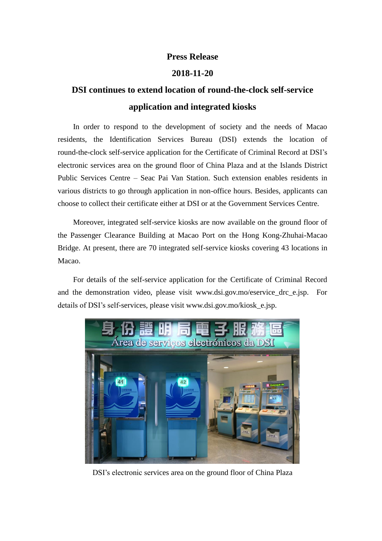## **Press Release**

## **2018-11-20**

## **DSI continues to extend location of round-the-clock self-service application and integrated kiosks**

In order to respond to the development of society and the needs of Macao residents, the Identification Services Bureau (DSI) extends the location of round-the-clock self-service application for the Certificate of Criminal Record at DSI's electronic services area on the ground floor of China Plaza and at the Islands District Public Services Centre – Seac Pai Van Station. Such extension enables residents in various districts to go through application in non-office hours. Besides, applicants can choose to collect their certificate either at DSI or at the Government Services Centre.

Moreover, integrated self-service kiosks are now available on the ground floor of the Passenger Clearance Building at Macao Port on the Hong Kong-Zhuhai-Macao Bridge. At present, there are 70 integrated self-service kiosks covering 43 locations in Macao.

For details of the self-service application for the Certificate of Criminal Record and the demonstration video, please visit www.dsi.gov.mo/eservice drc e.jsp. For details of DSI's self-services, please visit www.dsi.gov.mo/kiosk\_e.jsp.



DSI's electronic services area on the ground floor of China Plaza